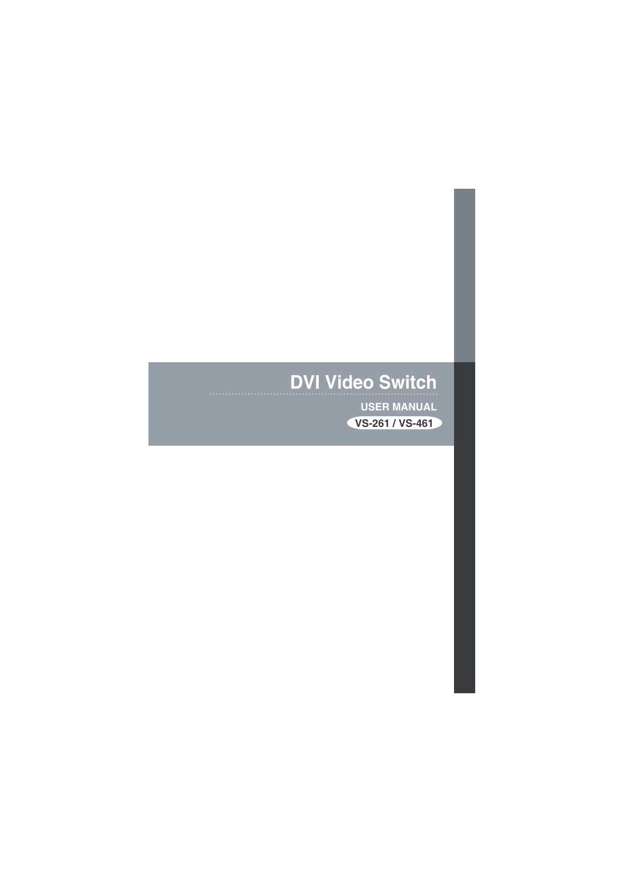# **DVI Video Switch**

**USER MANUAL**

**VS-261 / VS-461**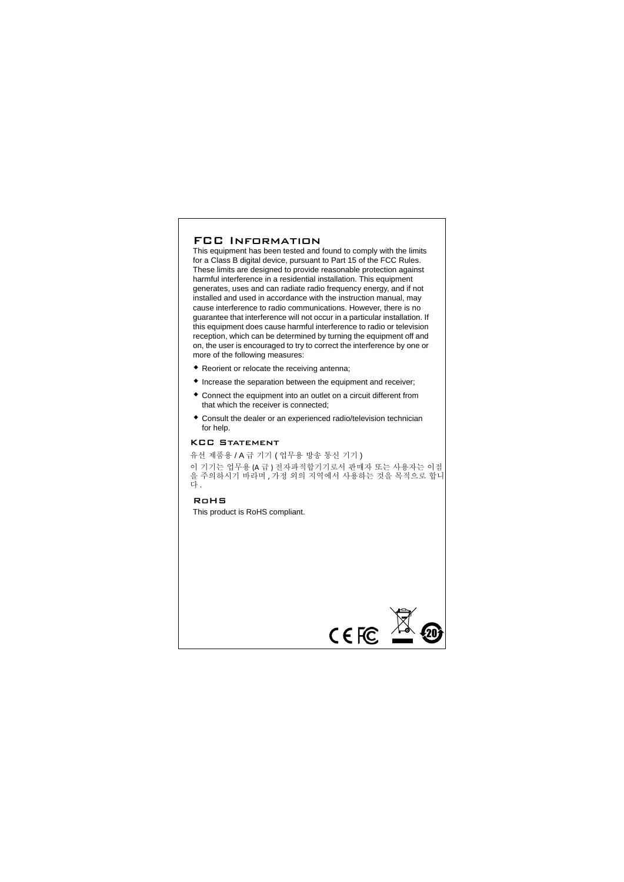#### FCC Information

This equipment has been tested and found to comply with the limits for a Class B digital device, pursuant to Part 15 of the FCC Rules. These limits are designed to provide reasonable protection against harmful interference in a residential installation. This equipment generates, uses and can radiate radio frequency energy, and if not installed and used in accordance with the instruction manual, may cause interference to radio communications. However, there is no guarantee that interference will not occur in a particular installation. If this equipment does cause harmful interference to radio or television reception, which can be determined by turning the equipment off and on, the user is encouraged to try to correct the interference by one or more of the following measures:

- Reorient or relocate the receiving antenna;
- $\bullet$  Increase the separation between the equipment and receiver;
- Connect the equipment into an outlet on a circuit different from that which the receiver is connected;
- Consult the dealer or an experienced radio/television technician for help.

#### KCC Statement

유선 제품용 / A 급 기기 ( 업무용 방송 통신 기기 )

이 기기는 업무용 (A 급 ) 전자파적합기기로서 판매자 또는 사용자는 이점 을 주의하시기 바라며 , 가정 외의 지역에서 사용하는 것을 목적으로 합니 다 .

#### RoHS

This product is RoHS compliant.

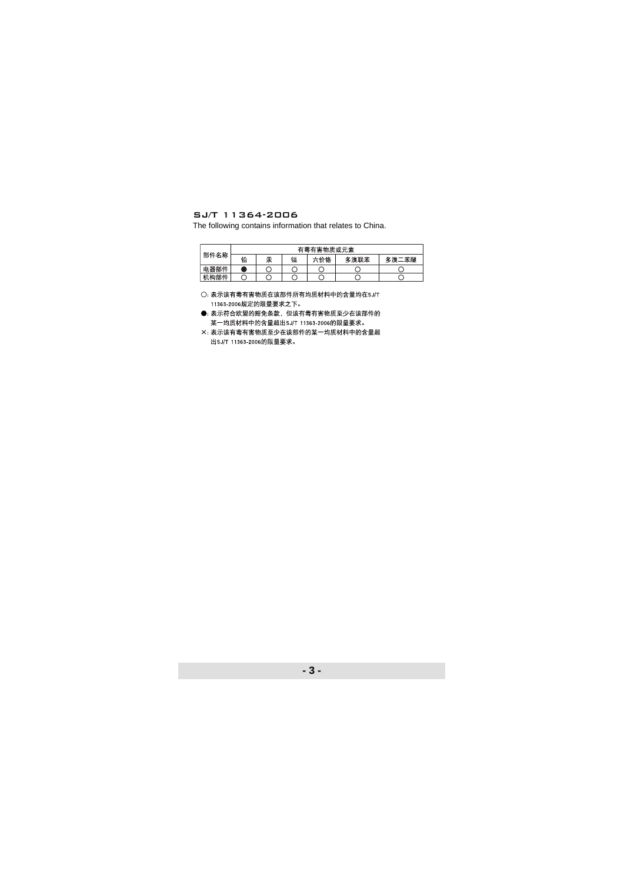#### SJ/T 11364-2006

The following contains information that relates to China.

| 部件名称 | 有毒有害物质或元素 |   |   |     |      |       |
|------|-----------|---|---|-----|------|-------|
|      | 铅         | 汞 | 镉 | 六价铬 | 多溴联苯 | 多溴二苯醚 |
| 电器部件 |           |   |   |     |      |       |
| 机构部件 |           |   |   |     |      |       |

○: 表示该有毒有害物质在该部件所有均质材料中的含量均在SJ/T 11363-2006规定的限量要求之下。

●: 表示符合欧盟的豁免条款, 但该有毒有害物质至少在该部件的 某一均质材料中的含量超出SJ/T 11363-2006的限量要求。

X: 表示该有毒有害物质至少在该部件的某一均质材料中的含量超 出SJ/T 11363-2006的限量要求。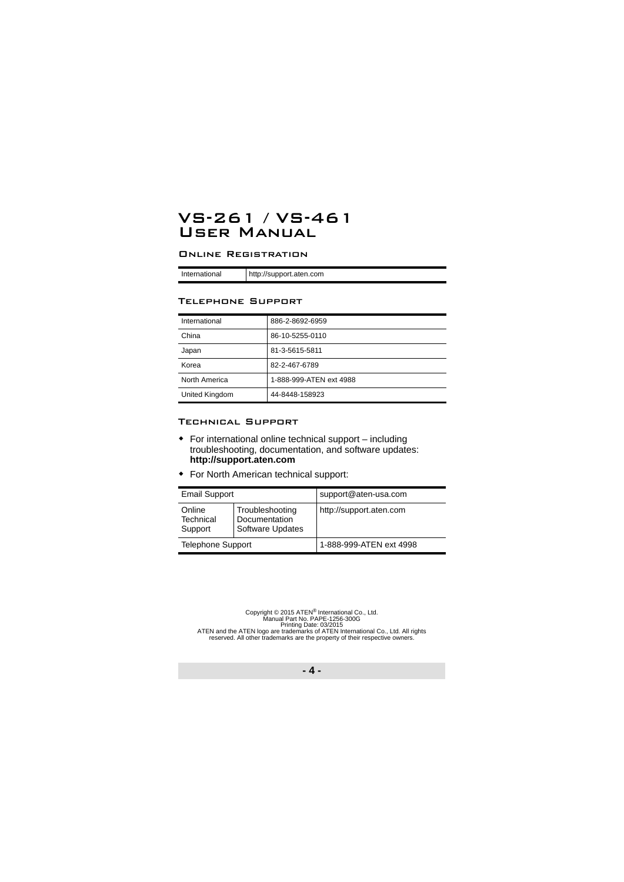## VS-261 / VS-461 User Manual

#### Online Registration

| International | http://support.aten.com |
|---------------|-------------------------|

#### Telephone Support

| International  | 886-2-8692-6959         |
|----------------|-------------------------|
| China          | 86-10-5255-0110         |
| Japan          | 81-3-5615-5811          |
| Korea          | 82-2-467-6789           |
| North America  | 1-888-999-ATEN ext 4988 |
| United Kingdom | 44-8448-158923          |

#### Technical Support

- For international online technical support including troubleshooting, documentation, and software updates: **http://support.aten.com**
- For North American technical support:

| <b>Email Support</b>           |                                                             | support@aten-usa.com    |
|--------------------------------|-------------------------------------------------------------|-------------------------|
| Online<br>Technical<br>Support | Troubleshooting<br>Documentation<br><b>Software Updates</b> | http://support.aten.com |
| <b>Telephone Support</b>       |                                                             | 1-888-999-ATEN ext 4998 |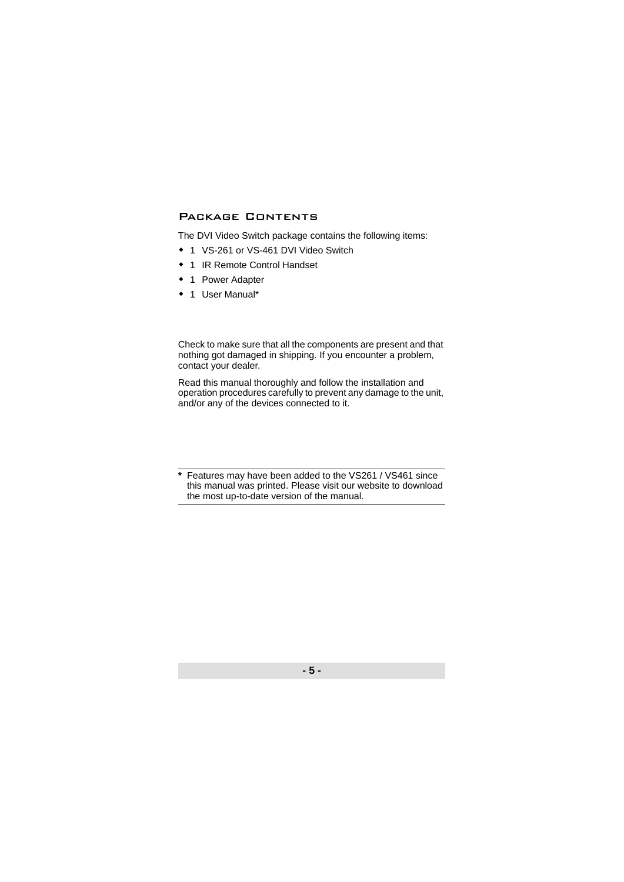## Package Contents

The DVI Video Switch package contains the following items:

- ◆ 1 VS-261 or VS-461 DVI Video Switch
- ◆ 1 IR Remote Control Handset
- 1 Power Adapter
- 1 User Manual\*

Check to make sure that all the components are present and that nothing got damaged in shipping. If you encounter a problem, contact your dealer.

Read this manual thoroughly and follow the installation and operation procedures carefully to prevent any damage to the unit, and/or any of the devices connected to it.

**\*** Features may have been added to the VS261 / VS461 since this manual was printed. Please visit our website to download the most up-to-date version of the manual.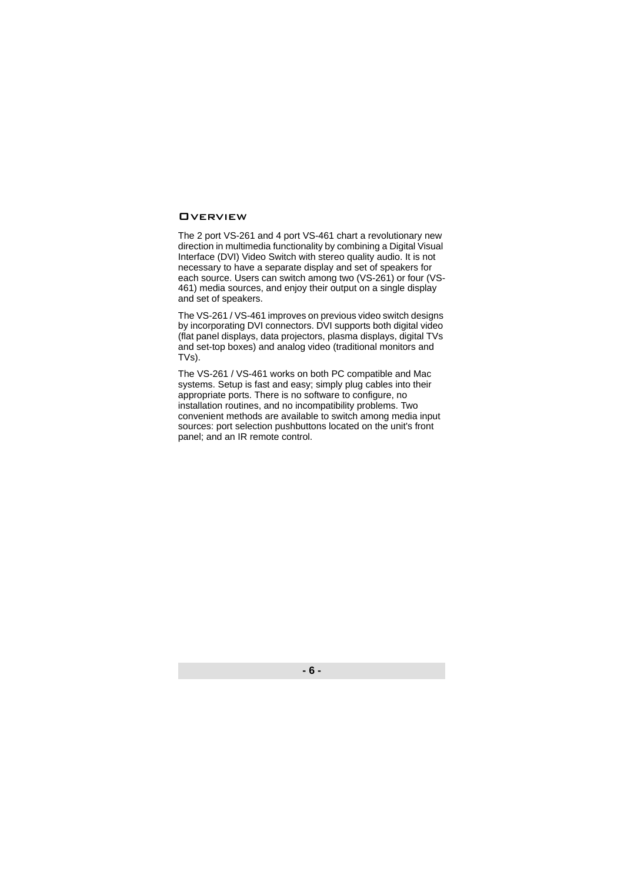#### **OVERVIEW**

The 2 port VS-261 and 4 port VS-461 chart a revolutionary new direction in multimedia functionality by combining a Digital Visual Interface (DVI) Video Switch with stereo quality audio. It is not necessary to have a separate display and set of speakers for each source. Users can switch among two (VS-261) or four (VS-461) media sources, and enjoy their output on a single display and set of speakers.

The VS-261 / VS-461 improves on previous video switch designs by incorporating DVI connectors. DVI supports both digital video (flat panel displays, data projectors, plasma displays, digital TVs and set-top boxes) and analog video (traditional monitors and TVs).

The VS-261 / VS-461 works on both PC compatible and Mac systems. Setup is fast and easy; simply plug cables into their appropriate ports. There is no software to configure, no installation routines, and no incompatibility problems. Two convenient methods are available to switch among media input sources: port selection pushbuttons located on the unit's front panel; and an IR remote control.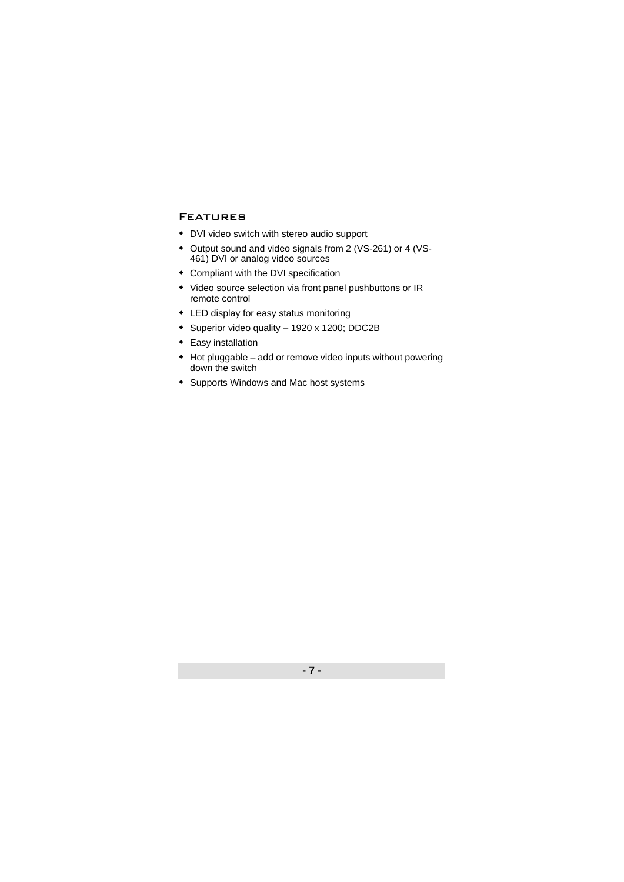### Features

- DVI video switch with stereo audio support
- Output sound and video signals from 2 (VS-261) or 4 (VS-461) DVI or analog video sources
- Compliant with the DVI specification
- Video source selection via front panel pushbuttons or IR remote control
- LED display for easy status monitoring
- Superior video quality 1920 x 1200; DDC2B
- Easy installation
- Hot pluggable add or remove video inputs without powering down the switch
- Supports Windows and Mac host systems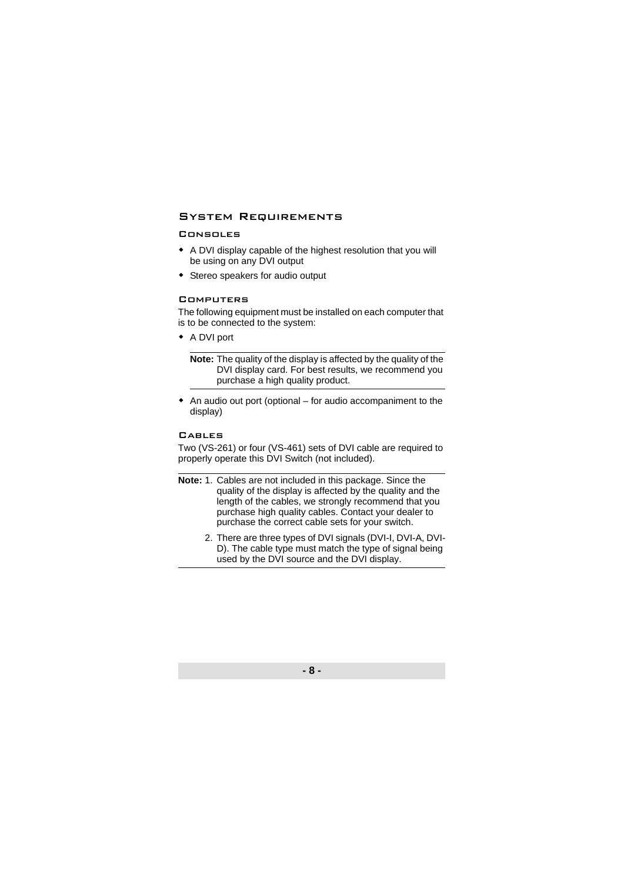## System Requirements

#### Consoles

- A DVI display capable of the highest resolution that you will be using on any DVI output
- Stereo speakers for audio output

#### **COMPUTERS**

The following equipment must be installed on each computer that is to be connected to the system:

A DVI port

**Note:** The quality of the display is affected by the quality of the DVI display card. For best results, we recommend you purchase a high quality product.

 $\bullet$  An audio out port (optional – for audio accompaniment to the display)

#### **CABLES**

Two (VS-261) or four (VS-461) sets of DVI cable are required to properly operate this DVI Switch (not included).

- **Note:** 1. Cables are not included in this package. Since the quality of the display is affected by the quality and the length of the cables, we strongly recommend that you purchase high quality cables. Contact your dealer to purchase the correct cable sets for your switch.
	- 2. There are three types of DVI signals (DVI-I, DVI-A, DVI-D). The cable type must match the type of signal being used by the DVI source and the DVI display.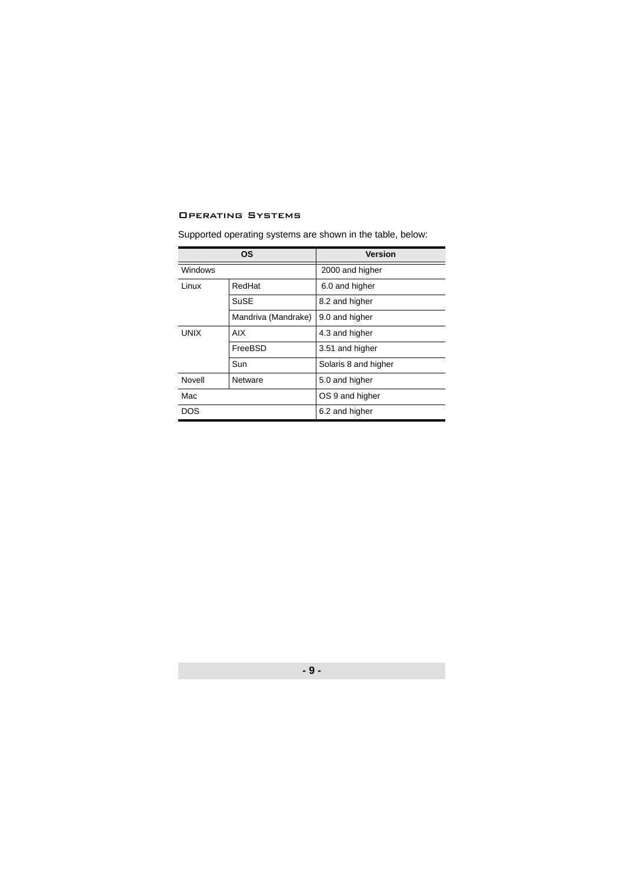#### Operating Systems

|                   | <b>OS</b>           | <b>Version</b>       |
|-------------------|---------------------|----------------------|
| Windows           |                     | 2000 and higher      |
| Linux             | RedHat              | 6.0 and higher       |
|                   | SuSE                | 8.2 and higher       |
|                   | Mandriva (Mandrake) | 9.0 and higher       |
| <b>UNIX</b>       | <b>AIX</b>          | 4.3 and higher       |
|                   | FreeBSD             | 3.51 and higher      |
|                   | Sun                 | Solaris 8 and higher |
| Novell<br>Netware |                     | 5.0 and higher       |
| Mac               |                     | OS 9 and higher      |
| <b>DOS</b>        |                     | 6.2 and higher       |

Supported operating systems are shown in the table, below: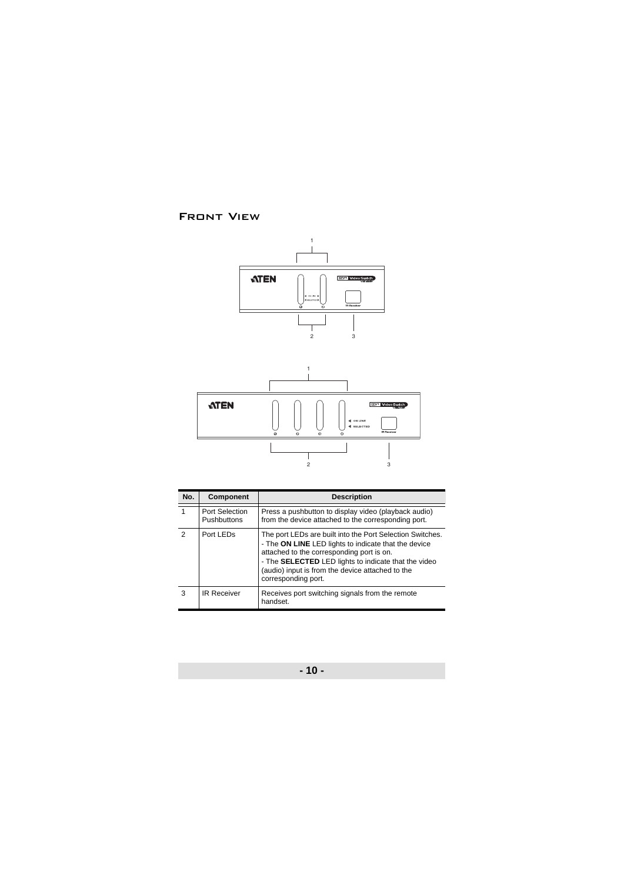## Front View



| No. | <b>Component</b>              | <b>Description</b>                                                                                                                                                                                                                                                                                |
|-----|-------------------------------|---------------------------------------------------------------------------------------------------------------------------------------------------------------------------------------------------------------------------------------------------------------------------------------------------|
|     | Port Selection<br>Pushbuttons | Press a pushbutton to display video (playback audio)<br>from the device attached to the corresponding port.                                                                                                                                                                                       |
| 2   | Port LEDs                     | The port LEDs are built into the Port Selection Switches.<br>- The ON LINE LED lights to indicate that the device<br>attached to the corresponding port is on.<br>- The SELECTED LED lights to indicate that the video<br>(audio) input is from the device attached to the<br>corresponding port. |
| 3   | <b>IR Receiver</b>            | Receives port switching signals from the remote<br>handset.                                                                                                                                                                                                                                       |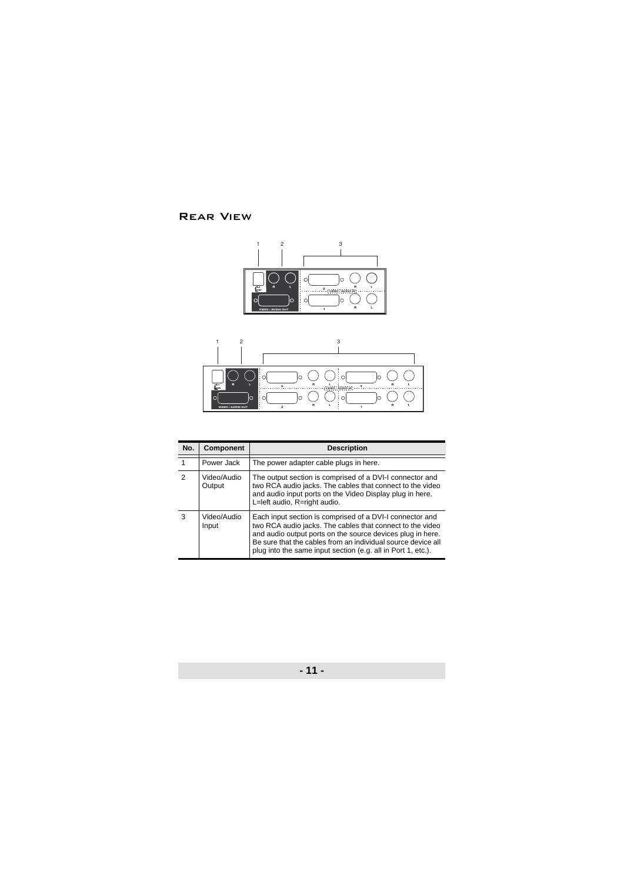## Rear View





| No.            | Component             | <b>Description</b>                                                                                                                                                                                                                                                                                                  |  |
|----------------|-----------------------|---------------------------------------------------------------------------------------------------------------------------------------------------------------------------------------------------------------------------------------------------------------------------------------------------------------------|--|
|                | Power Jack            | The power adapter cable plugs in here.                                                                                                                                                                                                                                                                              |  |
| $\mathfrak{p}$ | Video/Audio<br>Output | The output section is comprised of a DVI-I connector and<br>two RCA audio jacks. The cables that connect to the video<br>and audio input ports on the Video Display plug in here.<br>L=left audio, R=right audio.                                                                                                   |  |
| 3              | Video/Audio<br>Input  | Each input section is comprised of a DVI-I connector and<br>two RCA audio jacks. The cables that connect to the video<br>and audio output ports on the source devices plug in here.<br>Be sure that the cables from an individual source device all<br>plug into the same input section (e.g. all in Port 1, etc.). |  |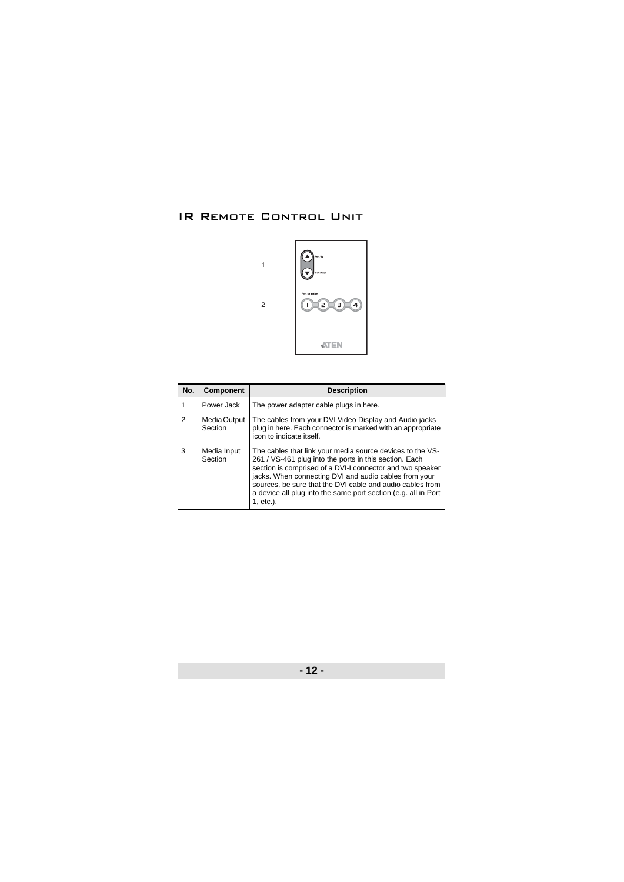## IR Remote Control Unit



| No.            | <b>Component</b>        | <b>Description</b>                                                                                                                                                                                                                                                                                                                                                                    |  |
|----------------|-------------------------|---------------------------------------------------------------------------------------------------------------------------------------------------------------------------------------------------------------------------------------------------------------------------------------------------------------------------------------------------------------------------------------|--|
| 1              | Power Jack              | The power adapter cable plugs in here.                                                                                                                                                                                                                                                                                                                                                |  |
| $\mathfrak{p}$ | Media Output<br>Section | The cables from your DVI Video Display and Audio jacks<br>plug in here. Each connector is marked with an appropriate<br>icon to indicate itself.                                                                                                                                                                                                                                      |  |
| 3              | Media Input<br>Section  | The cables that link your media source devices to the VS-<br>261 / VS-461 plug into the ports in this section. Each<br>section is comprised of a DVI-I connector and two speaker<br>jacks. When connecting DVI and audio cables from your<br>sources, be sure that the DVI cable and audio cables from<br>a device all plug into the same port section (e.g. all in Port<br>1, etc.). |  |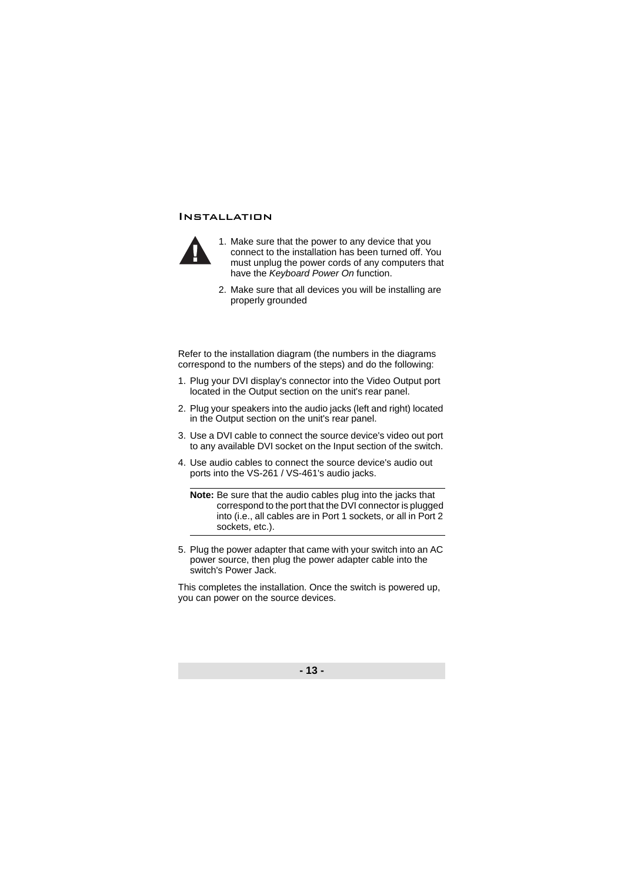#### Installation



- 1. Make sure that the power to any device that you connect to the installation has been turned off. You must unplug the power cords of any computers that have the *Keyboard Power On* function.
- 2. Make sure that all devices you will be installing are properly grounded

Refer to the installation diagram (the numbers in the diagrams correspond to the numbers of the steps) and do the following:

- 1. Plug your DVI display's connector into the Video Output port located in the Output section on the unit's rear panel.
- 2. Plug your speakers into the audio jacks (left and right) located in the Output section on the unit's rear panel.
- 3. Use a DVI cable to connect the source device's video out port to any available DVI socket on the Input section of the switch.
- 4. Use audio cables to connect the source device's audio out ports into the VS-261 / VS-461's audio jacks.

**Note:** Be sure that the audio cables plug into the jacks that correspond to the port that the DVI connector is plugged into (i.e., all cables are in Port 1 sockets, or all in Port 2 sockets, etc.).

5. Plug the power adapter that came with your switch into an AC power source, then plug the power adapter cable into the switch's Power Jack.

This completes the installation. Once the switch is powered up, you can power on the source devices.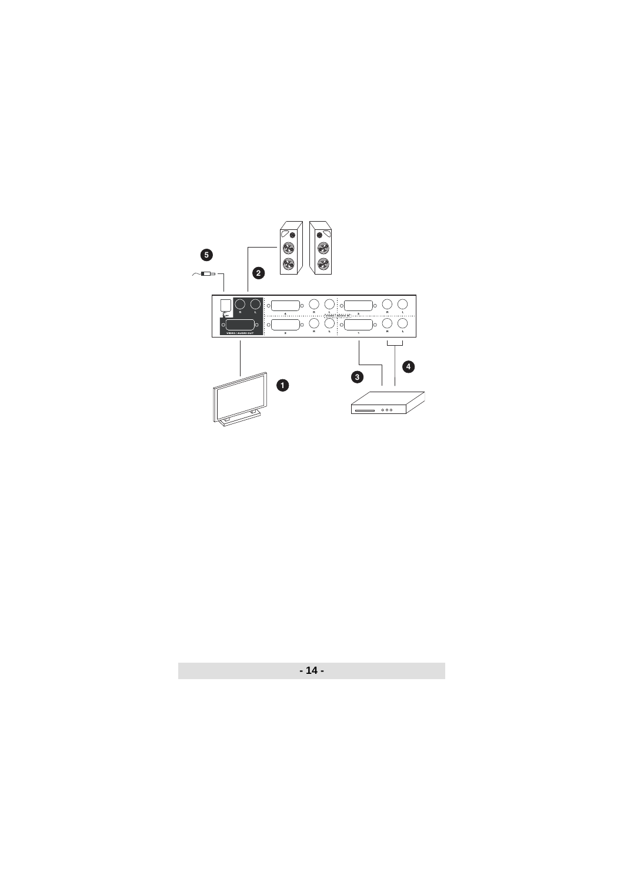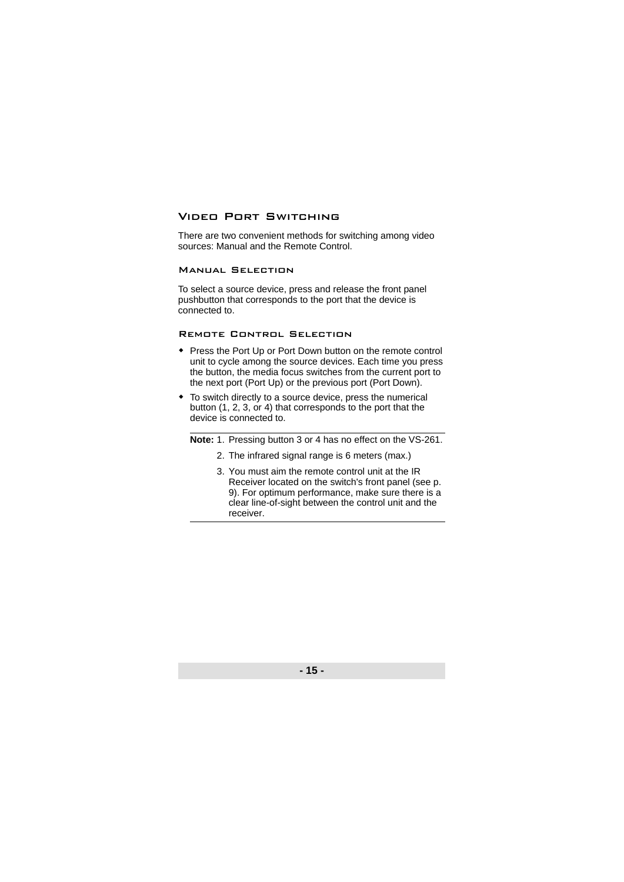## Video Port Switching

There are two convenient methods for switching among video sources: Manual and the Remote Control.

#### Manual Selection

To select a source device, press and release the front panel pushbutton that corresponds to the port that the device is connected to.

#### Remote Control Selection

- Press the Port Up or Port Down button on the remote control unit to cycle among the source devices. Each time you press the button, the media focus switches from the current port to the next port (Port Up) or the previous port (Port Down).
- To switch directly to a source device, press the numerical button (1, 2, 3, or 4) that corresponds to the port that the device is connected to.

#### **Note:** 1. Pressing button 3 or 4 has no effect on the VS-261.

- 2. The infrared signal range is 6 meters (max.)
- 3. You must aim the remote control unit at the IR Receiver located on the switch's front panel (see p. 9). For optimum performance, make sure there is a clear line-of-sight between the control unit and the receiver.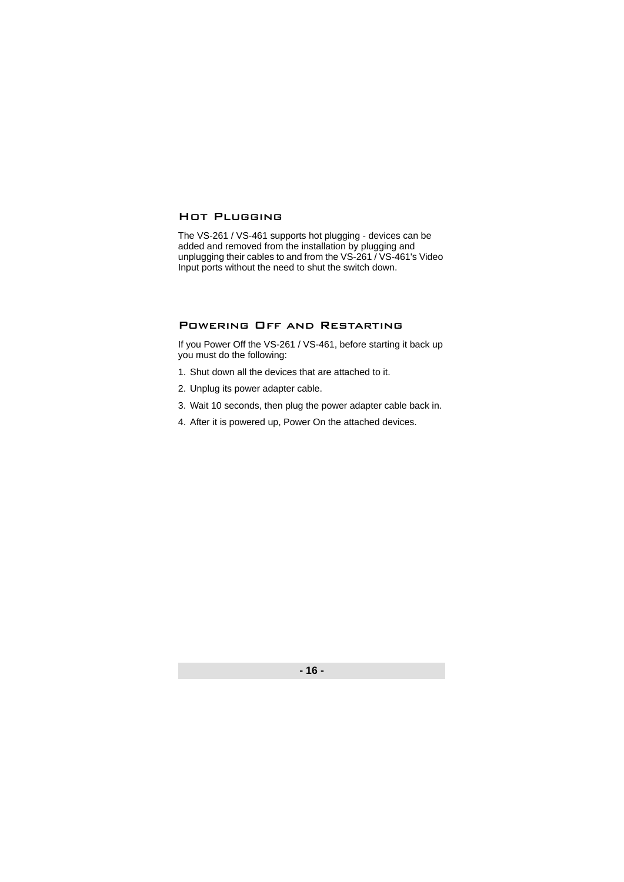## Hot Plugging

The VS-261 / VS-461 supports hot plugging - devices can be added and removed from the installation by plugging and unplugging their cables to and from the VS-261 / VS-461's Video Input ports without the need to shut the switch down.

### Powering Off and Restarting

If you Power Off the VS-261 / VS-461, before starting it back up you must do the following:

- 1. Shut down all the devices that are attached to it.
- 2. Unplug its power adapter cable.
- 3. Wait 10 seconds, then plug the power adapter cable back in.
- 4. After it is powered up, Power On the attached devices.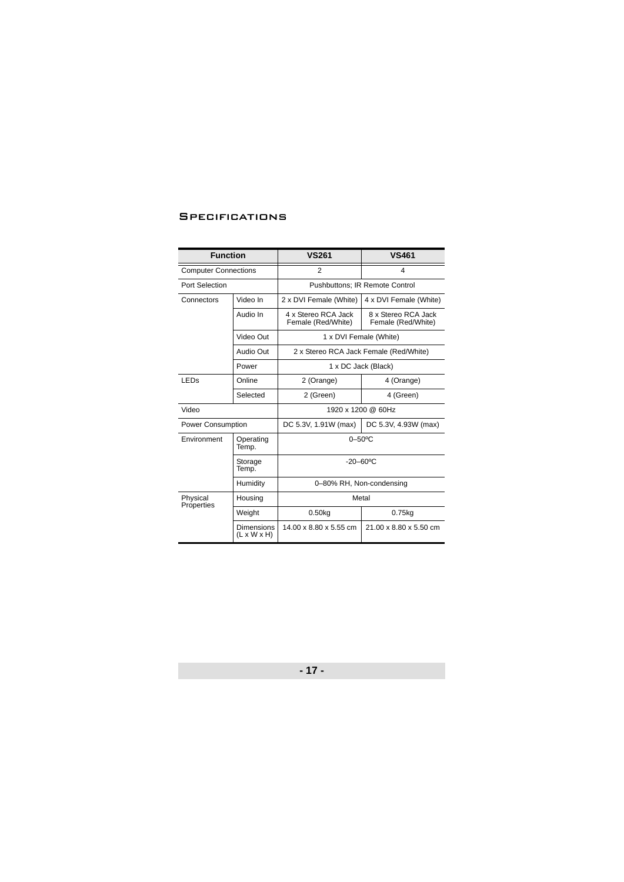#### **SPECIFICATIONS**

| <b>Function</b>                   |                           | <b>VS261</b>                                 | <b>VS461</b>                              |  |
|-----------------------------------|---------------------------|----------------------------------------------|-------------------------------------------|--|
| <b>Computer Connections</b>       |                           | $\overline{2}$                               | 4                                         |  |
| Port Selection                    |                           | <b>Pushbuttons: IR Remote Control</b>        |                                           |  |
| Connectors                        | Video In                  | 2 x DVI Female (White)                       | 4 x DVI Female (White)                    |  |
|                                   | Audio In                  | 4 x Stereo RCA Jack<br>Female (Red/White)    | 8 x Stereo RCA Jack<br>Female (Red/White) |  |
|                                   | Video Out                 | 1 x DVI Female (White)                       |                                           |  |
|                                   | Audio Out                 | 2 x Stereo RCA Jack Female (Red/White)       |                                           |  |
|                                   | Power                     | 1 x DC Jack (Black)                          |                                           |  |
| LED <sub>s</sub>                  | Online                    | 2 (Orange)                                   | 4 (Orange)                                |  |
|                                   | Selected                  | 2 (Green)                                    | 4 (Green)                                 |  |
| Video                             |                           | 1920 x 1200 @ 60Hz                           |                                           |  |
| Power Consumption                 |                           | DC 5.3V, 1.91W (max)<br>DC 5.3V, 4.93W (max) |                                           |  |
| Environment<br>Operating<br>Temp. |                           | $0 - 50$ <sup>o</sup> C                      |                                           |  |
|                                   | Storage<br>Temp.          | $-20 - 60$ <sup>o</sup> C                    |                                           |  |
|                                   | Humidity                  | 0-80% RH, Non-condensing                     |                                           |  |
| Physical<br>Properties            | Housing                   | Metal                                        |                                           |  |
|                                   | Weight                    | $0.50$ kg                                    | 0.75kg                                    |  |
|                                   | Dimensions<br>(L x W x H) | 14.00 x 8.80 x 5.55 cm                       | 21.00 x 8.80 x 5.50 cm                    |  |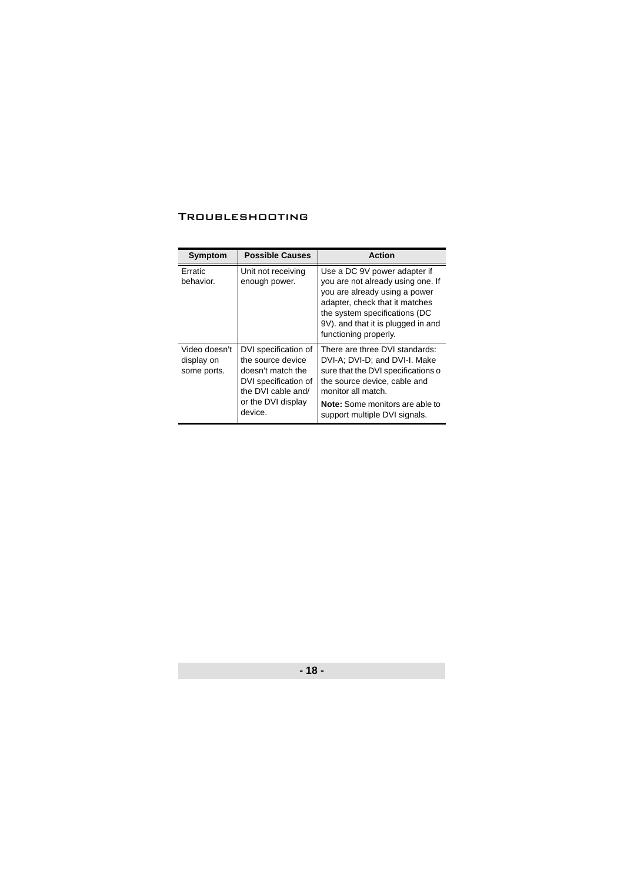#### Troubleshooting

| <b>Possible Causes</b><br>Symptom          |                                                                                                                                               | <b>Action</b>                                                                                                                                                                                                                          |
|--------------------------------------------|-----------------------------------------------------------------------------------------------------------------------------------------------|----------------------------------------------------------------------------------------------------------------------------------------------------------------------------------------------------------------------------------------|
| Erratic<br>behavior.                       | Unit not receiving<br>enough power.                                                                                                           | Use a DC 9V power adapter if<br>you are not already using one. If<br>you are already using a power<br>adapter, check that it matches<br>the system specifications (DC<br>9V), and that it is plugged in and<br>functioning properly.   |
| Video doesn't<br>display on<br>some ports. | DVI specification of<br>the source device<br>doesn't match the<br>DVI specification of<br>the DVI cable and/<br>or the DVI display<br>device. | There are three DVI standards:<br>DVI-A; DVI-D; and DVI-I. Make<br>sure that the DVI specifications o<br>the source device, cable and<br>monitor all match.<br><b>Note:</b> Some monitors are able to<br>support multiple DVI signals. |